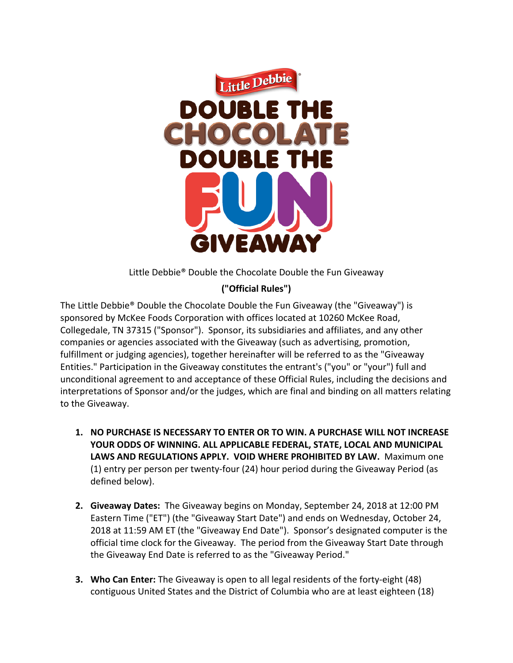

Little Debbie<sup>®</sup> Double the Chocolate Double the Fun Giveaway

## **("Official Rules")**

The Little Debbie® Double the Chocolate Double the Fun Giveaway (the "Giveaway") is sponsored by McKee Foods Corporation with offices located at 10260 McKee Road, Collegedale, TN 37315 ("Sponsor"). Sponsor, its subsidiaries and affiliates, and any other companies or agencies associated with the Giveaway (such as advertising, promotion, fulfillment or judging agencies), together hereinafter will be referred to as the "Giveaway Entities." Participation in the Giveaway constitutes the entrant's ("you" or "your") full and unconditional agreement to and acceptance of these Official Rules, including the decisions and interpretations of Sponsor and/or the judges, which are final and binding on all matters relating to the Giveaway.

- **1. NO PURCHASE IS NECESSARY TO ENTER OR TO WIN. A PURCHASE WILL NOT INCREASE YOUR ODDS OF WINNING. ALL APPLICABLE FEDERAL, STATE, LOCAL AND MUNICIPAL LAWS AND REGULATIONS APPLY. VOID WHERE PROHIBITED BY LAW.** Maximum one (1) entry per person per twenty-four (24) hour period during the Giveaway Period (as defined below).
- **2. Giveaway Dates:** The Giveaway begins on Monday, September 24, 2018 at 12:00 PM Eastern Time ("ET") (the "Giveaway Start Date") and ends on Wednesday, October 24, 2018 at 11:59 AM ET (the "Giveaway End Date"). Sponsor's designated computer is the official time clock for the Giveaway. The period from the Giveaway Start Date through the Giveaway End Date is referred to as the "Giveaway Period."
- **3. Who Can Enter:** The Giveaway is open to all legal residents of the forty-eight (48) contiguous United States and the District of Columbia who are at least eighteen (18)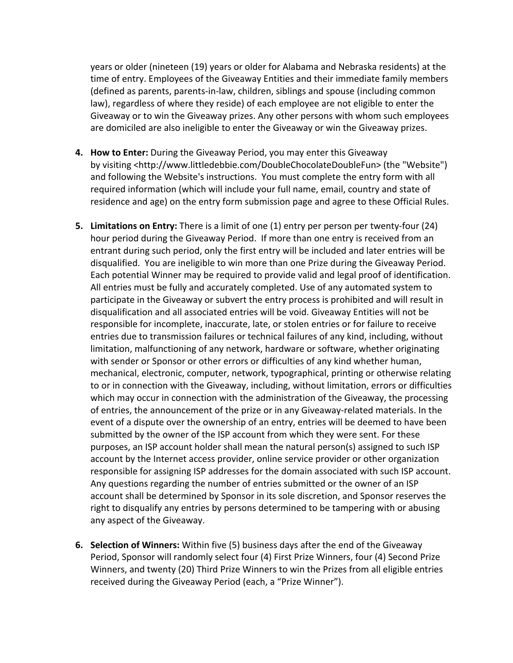years or older (nineteen (19) years or older for Alabama and Nebraska residents) at the time of entry. Employees of the Giveaway Entities and their immediate family members (defined as parents, parents-in-law, children, siblings and spouse (including common law), regardless of where they reside) of each employee are not eligible to enter the Giveaway or to win the Giveaway prizes. Any other persons with whom such employees are domiciled are also ineligible to enter the Giveaway or win the Giveaway prizes.

- **4. How to Enter:** During the Giveaway Period, you may enter this Giveaway by visiting <http://www.littledebbie.com/DoubleChocolateDoubleFun> (the "Website") and following the Website's instructions. You must complete the entry form with all required information (which will include your full name, email, country and state of residence and age) on the entry form submission page and agree to these Official Rules.
- **5. Limitations on Entry:** There is a limit of one (1) entry per person per twenty-four (24) hour period during the Giveaway Period. If more than one entry is received from an entrant during such period, only the first entry will be included and later entries will be disqualified. You are ineligible to win more than one Prize during the Giveaway Period. Each potential Winner may be required to provide valid and legal proof of identification. All entries must be fully and accurately completed. Use of any automated system to participate in the Giveaway or subvert the entry process is prohibited and will result in disqualification and all associated entries will be void. Giveaway Entities will not be responsible for incomplete, inaccurate, late, or stolen entries or for failure to receive entries due to transmission failures or technical failures of any kind, including, without limitation, malfunctioning of any network, hardware or software, whether originating with sender or Sponsor or other errors or difficulties of any kind whether human, mechanical, electronic, computer, network, typographical, printing or otherwise relating to or in connection with the Giveaway, including, without limitation, errors or difficulties which may occur in connection with the administration of the Giveaway, the processing of entries, the announcement of the prize or in any Giveaway-related materials. In the event of a dispute over the ownership of an entry, entries will be deemed to have been submitted by the owner of the ISP account from which they were sent. For these purposes, an ISP account holder shall mean the natural person(s) assigned to such ISP account by the Internet access provider, online service provider or other organization responsible for assigning ISP addresses for the domain associated with such ISP account. Any questions regarding the number of entries submitted or the owner of an ISP account shall be determined by Sponsor in its sole discretion, and Sponsor reserves the right to disqualify any entries by persons determined to be tampering with or abusing any aspect of the Giveaway.
- **6. Selection of Winners:** Within five (5) business days after the end of the Giveaway Period, Sponsor will randomly select four (4) First Prize Winners, four (4) Second Prize Winners, and twenty (20) Third Prize Winners to win the Prizes from all eligible entries received during the Giveaway Period (each, a "Prize Winner").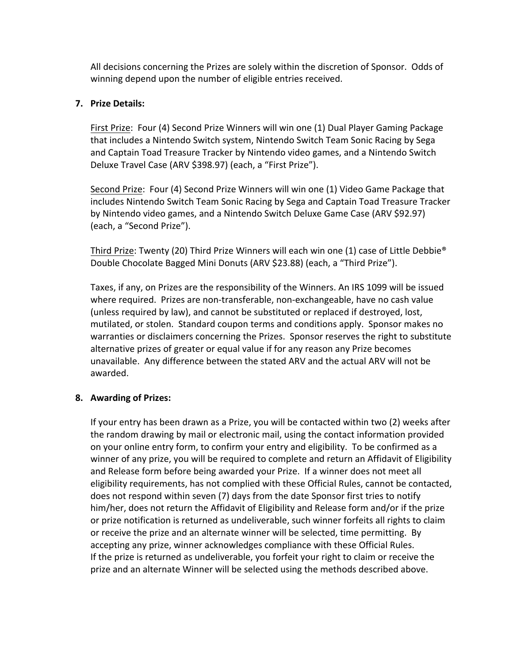All decisions concerning the Prizes are solely within the discretion of Sponsor. Odds of winning depend upon the number of eligible entries received.

## **7. Prize Details:**

First Prize: Four (4) Second Prize Winners will win one (1) Dual Player Gaming Package that includes a Nintendo Switch system, Nintendo Switch Team Sonic Racing by Sega and Captain Toad Treasure Tracker by Nintendo video games, and a Nintendo Switch Deluxe Travel Case (ARV \$398.97) (each, a "First Prize").

Second Prize: Four (4) Second Prize Winners will win one (1) Video Game Package that includes Nintendo Switch Team Sonic Racing by Sega and Captain Toad Treasure Tracker by Nintendo video games, and a Nintendo Switch Deluxe Game Case (ARV \$92.97) (each, a "Second Prize").

Third Prize: Twenty (20) Third Prize Winners will each win one (1) case of Little Debbie<sup>®</sup> Double Chocolate Bagged Mini Donuts (ARV \$23.88) (each, a "Third Prize").

Taxes, if any, on Prizes are the responsibility of the Winners. An IRS 1099 will be issued where required. Prizes are non-transferable, non-exchangeable, have no cash value (unless required by law), and cannot be substituted or replaced if destroyed, lost, mutilated, or stolen. Standard coupon terms and conditions apply. Sponsor makes no warranties or disclaimers concerning the Prizes. Sponsor reserves the right to substitute alternative prizes of greater or equal value if for any reason any Prize becomes unavailable. Any difference between the stated ARV and the actual ARV will not be awarded. 

## **8.** Awarding of Prizes:

If your entry has been drawn as a Prize, you will be contacted within two (2) weeks after the random drawing by mail or electronic mail, using the contact information provided on your online entry form, to confirm your entry and eligibility. To be confirmed as a winner of any prize, you will be required to complete and return an Affidavit of Eligibility and Release form before being awarded your Prize. If a winner does not meet all eligibility requirements, has not complied with these Official Rules, cannot be contacted, does not respond within seven (7) days from the date Sponsor first tries to notify him/her, does not return the Affidavit of Eligibility and Release form and/or if the prize or prize notification is returned as undeliverable, such winner forfeits all rights to claim or receive the prize and an alternate winner will be selected, time permitting. By accepting any prize, winner acknowledges compliance with these Official Rules. If the prize is returned as undeliverable, you forfeit your right to claim or receive the prize and an alternate Winner will be selected using the methods described above.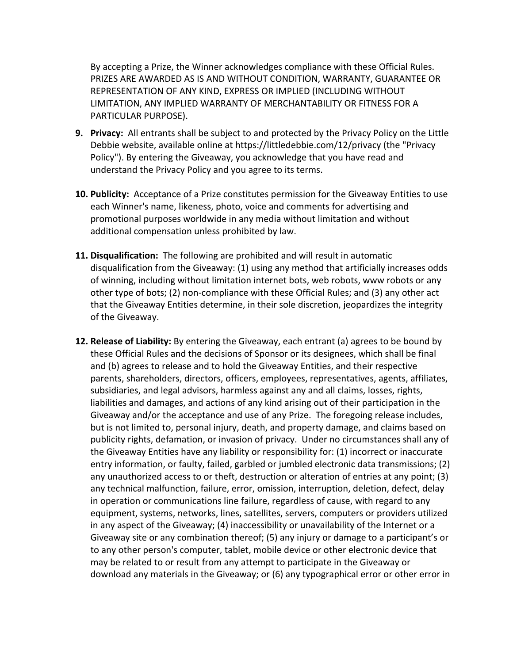By accepting a Prize, the Winner acknowledges compliance with these Official Rules. PRIZES ARE AWARDED AS IS AND WITHOUT CONDITION, WARRANTY, GUARANTEE OR REPRESENTATION OF ANY KIND, EXPRESS OR IMPLIED (INCLUDING WITHOUT LIMITATION, ANY IMPLIED WARRANTY OF MERCHANTABILITY OR FITNESS FOR A PARTICULAR PURPOSE).

- **9. Privacy:** All entrants shall be subject to and protected by the Privacy Policy on the Little Debbie website, available online at https://littledebbie.com/12/privacy (the "Privacy Policy"). By entering the Giveaway, you acknowledge that you have read and understand the Privacy Policy and you agree to its terms.
- **10. Publicity:** Acceptance of a Prize constitutes permission for the Giveaway Entities to use each Winner's name, likeness, photo, voice and comments for advertising and promotional purposes worldwide in any media without limitation and without additional compensation unless prohibited by law.
- **11. Disqualification:** The following are prohibited and will result in automatic disqualification from the Giveaway: (1) using any method that artificially increases odds of winning, including without limitation internet bots, web robots, www robots or any other type of bots; (2) non-compliance with these Official Rules; and (3) any other act that the Giveaway Entities determine, in their sole discretion, jeopardizes the integrity of the Giveaway.
- **12. Release of Liability:** By entering the Giveaway, each entrant (a) agrees to be bound by these Official Rules and the decisions of Sponsor or its designees, which shall be final and (b) agrees to release and to hold the Giveaway Entities, and their respective parents, shareholders, directors, officers, employees, representatives, agents, affiliates, subsidiaries, and legal advisors, harmless against any and all claims, losses, rights, liabilities and damages, and actions of any kind arising out of their participation in the Giveaway and/or the acceptance and use of any Prize. The foregoing release includes, but is not limited to, personal injury, death, and property damage, and claims based on publicity rights, defamation, or invasion of privacy. Under no circumstances shall any of the Giveaway Entities have any liability or responsibility for: (1) incorrect or inaccurate entry information, or faulty, failed, garbled or jumbled electronic data transmissions; (2) any unauthorized access to or theft, destruction or alteration of entries at any point;  $(3)$ any technical malfunction, failure, error, omission, interruption, deletion, defect, delay in operation or communications line failure, regardless of cause, with regard to any equipment, systems, networks, lines, satellites, servers, computers or providers utilized in any aspect of the Giveaway; (4) inaccessibility or unavailability of the Internet or a Giveaway site or any combination thereof; (5) any injury or damage to a participant's or to any other person's computer, tablet, mobile device or other electronic device that may be related to or result from any attempt to participate in the Giveaway or download any materials in the Giveaway; or (6) any typographical error or other error in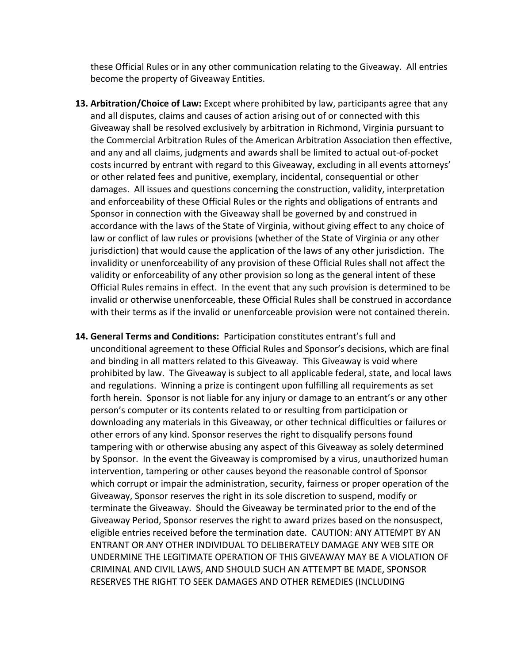these Official Rules or in any other communication relating to the Giveaway. All entries become the property of Giveaway Entities.

- **13. Arbitration/Choice of Law:** Except where prohibited by law, participants agree that any and all disputes, claims and causes of action arising out of or connected with this Giveaway shall be resolved exclusively by arbitration in Richmond, Virginia pursuant to the Commercial Arbitration Rules of the American Arbitration Association then effective, and any and all claims, judgments and awards shall be limited to actual out-of-pocket costs incurred by entrant with regard to this Giveaway, excluding in all events attorneys' or other related fees and punitive, exemplary, incidental, consequential or other damages. All issues and questions concerning the construction, validity, interpretation and enforceability of these Official Rules or the rights and obligations of entrants and Sponsor in connection with the Giveaway shall be governed by and construed in accordance with the laws of the State of Virginia, without giving effect to any choice of law or conflict of law rules or provisions (whether of the State of Virginia or any other jurisdiction) that would cause the application of the laws of any other jurisdiction. The invalidity or unenforceability of any provision of these Official Rules shall not affect the validity or enforceability of any other provision so long as the general intent of these Official Rules remains in effect. In the event that any such provision is determined to be invalid or otherwise unenforceable, these Official Rules shall be construed in accordance with their terms as if the invalid or unenforceable provision were not contained therein.
- **14. General Terms and Conditions:** Participation constitutes entrant's full and unconditional agreement to these Official Rules and Sponsor's decisions, which are final and binding in all matters related to this Giveaway. This Giveaway is void where prohibited by law. The Giveaway is subject to all applicable federal, state, and local laws and regulations. Winning a prize is contingent upon fulfilling all requirements as set forth herein. Sponsor is not liable for any injury or damage to an entrant's or any other person's computer or its contents related to or resulting from participation or downloading any materials in this Giveaway, or other technical difficulties or failures or other errors of any kind. Sponsor reserves the right to disqualify persons found tampering with or otherwise abusing any aspect of this Giveaway as solely determined by Sponsor. In the event the Giveaway is compromised by a virus, unauthorized human intervention, tampering or other causes beyond the reasonable control of Sponsor which corrupt or impair the administration, security, fairness or proper operation of the Giveaway, Sponsor reserves the right in its sole discretion to suspend, modify or terminate the Giveaway. Should the Giveaway be terminated prior to the end of the Giveaway Period, Sponsor reserves the right to award prizes based on the nonsuspect, eligible entries received before the termination date. CAUTION: ANY ATTEMPT BY AN ENTRANT OR ANY OTHER INDIVIDUAL TO DELIBERATELY DAMAGE ANY WEB SITE OR UNDERMINE THE LEGITIMATE OPERATION OF THIS GIVEAWAY MAY BE A VIOLATION OF CRIMINAL AND CIVIL LAWS, AND SHOULD SUCH AN ATTEMPT BE MADE, SPONSOR RESERVES THE RIGHT TO SEEK DAMAGES AND OTHER REMEDIES (INCLUDING